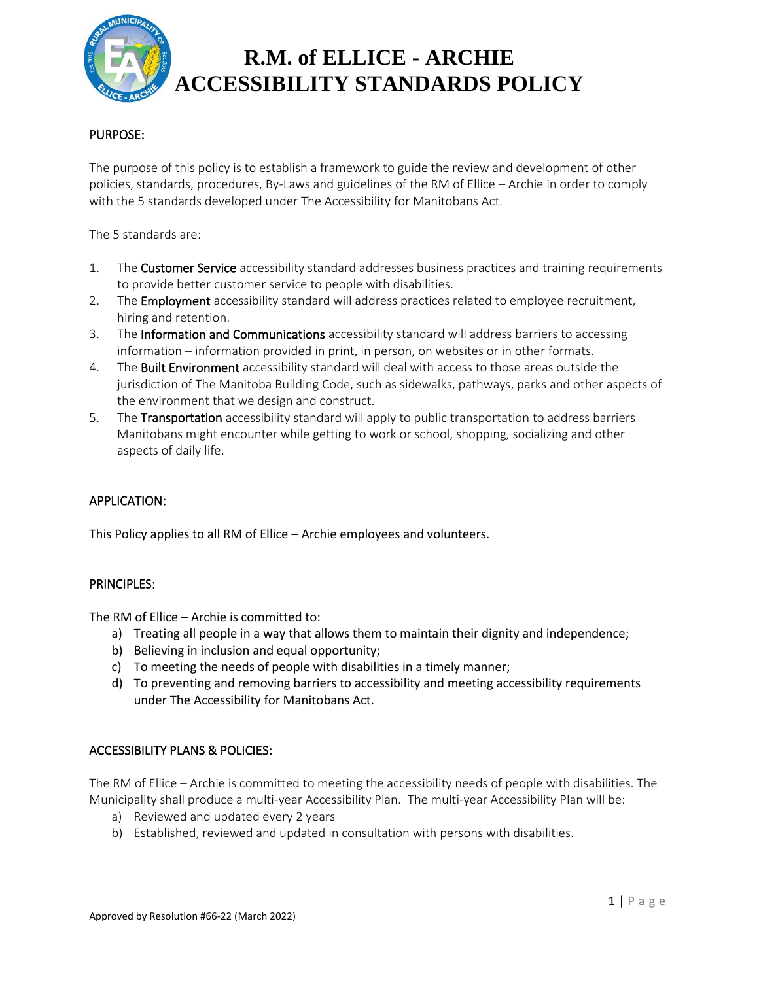

# **R.M. of ELLICE - ARCHIE ACCESSIBILITY STANDARDS POLICY**

## PURPOSE:

The purpose of this policy is to establish a framework to guide the review and development of other policies, standards, procedures, By-Laws and guidelines of the RM of Ellice – Archie in order to comply with the 5 standards developed under The Accessibility for Manitobans Act.

The 5 standards are:

- 1. The Customer Service accessibility standard addresses business practices and training requirements to provide better customer service to people with disabilities.
- 2. The **Employment** accessibility standard will address practices related to employee recruitment, hiring and retention.
- 3. The Information and Communications accessibility standard will address barriers to accessing information – information provided in print, in person, on websites or in other formats.
- 4. The Built Environment accessibility standard will deal with access to those areas outside the jurisdiction of The Manitoba Building Code, such as sidewalks, pathways, parks and other aspects of the environment that we design and construct.
- 5. The Transportation accessibility standard will apply to public transportation to address barriers Manitobans might encounter while getting to work or school, shopping, socializing and other aspects of daily life.

### APPLICATION:

This Policy applies to all RM of Ellice – Archie employees and volunteers.

#### PRINCIPLES:

The RM of Ellice – Archie is committed to:

- a) Treating all people in a way that allows them to maintain their dignity and independence;
- b) Believing in inclusion and equal opportunity;
- c) To meeting the needs of people with disabilities in a timely manner;
- d) To preventing and removing barriers to accessibility and meeting accessibility requirements under The Accessibility for Manitobans Act.

### ACCESSIBILITY PLANS & POLICIES:

The RM of Ellice – Archie is committed to meeting the accessibility needs of people with disabilities. The Municipality shall produce a multi-year Accessibility Plan. The multi-year Accessibility Plan will be:

- a) Reviewed and updated every 2 years
- b) Established, reviewed and updated in consultation with persons with disabilities.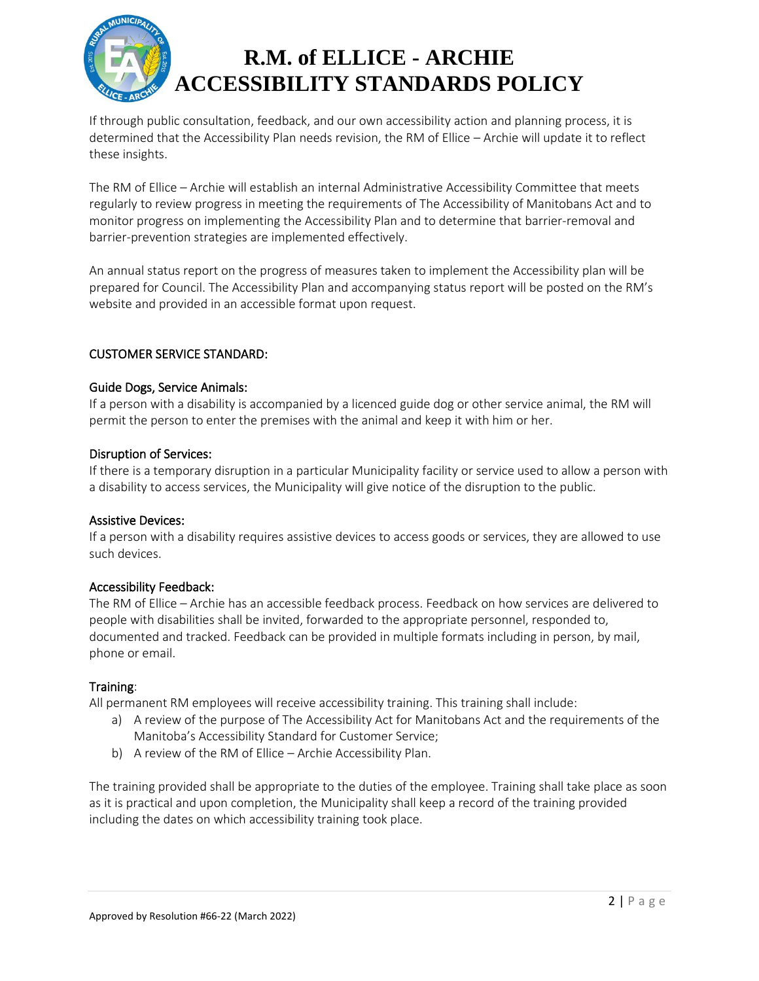

# **R.M. of ELLICE - ARCHIE ACCESSIBILITY STANDARDS POLICY**

If through public consultation, feedback, and our own accessibility action and planning process, it is determined that the Accessibility Plan needs revision, the RM of Ellice – Archie will update it to reflect these insights.

The RM of Ellice – Archie will establish an internal Administrative Accessibility Committee that meets regularly to review progress in meeting the requirements of The Accessibility of Manitobans Act and to monitor progress on implementing the Accessibility Plan and to determine that barrier-removal and barrier-prevention strategies are implemented effectively.

An annual status report on the progress of measures taken to implement the Accessibility plan will be prepared for Council. The Accessibility Plan and accompanying status report will be posted on the RM's website and provided in an accessible format upon request.

## CUSTOMER SERVICE STANDARD:

#### Guide Dogs, Service Animals:

If a person with a disability is accompanied by a licenced guide dog or other service animal, the RM will permit the person to enter the premises with the animal and keep it with him or her.

#### Disruption of Services:

If there is a temporary disruption in a particular Municipality facility or service used to allow a person with a disability to access services, the Municipality will give notice of the disruption to the public.

### Assistive Devices:

If a person with a disability requires assistive devices to access goods or services, they are allowed to use such devices.

### Accessibility Feedback:

The RM of Ellice – Archie has an accessible feedback process. Feedback on how services are delivered to people with disabilities shall be invited, forwarded to the appropriate personnel, responded to, documented and tracked. Feedback can be provided in multiple formats including in person, by mail, phone or email.

### Training:

All permanent RM employees will receive accessibility training. This training shall include:

- a) A review of the purpose of The Accessibility Act for Manitobans Act and the requirements of the Manitoba's Accessibility Standard for Customer Service;
- b) A review of the RM of Ellice Archie Accessibility Plan.

The training provided shall be appropriate to the duties of the employee. Training shall take place as soon as it is practical and upon completion, the Municipality shall keep a record of the training provided including the dates on which accessibility training took place.